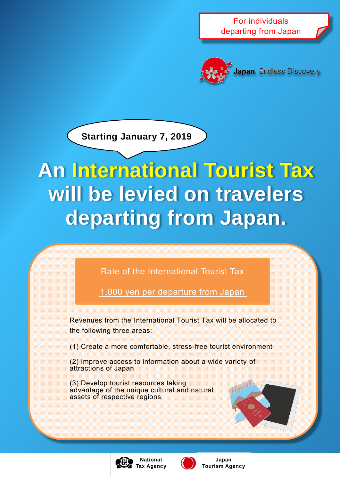For individuals departing from Japan



Japan. Endless Discovery.

**Starting January 7, 2019**

## **An International Tourist Tax will be levied on travelers departing from Japan.**

Rate of the International Tourist Tax

1,000 yen per departure from Japan

Revenues from the International Tourist Tax will be allocated to the following three areas:

(1) Create a more comfortable, stress-free tourist environment

(2) Improve access to information about a wide variety of attractions of Japan

(3) Develop tourist resources taking advantage of the unique cultural and natural assets of respective regions





**Japan Tourism Agency**